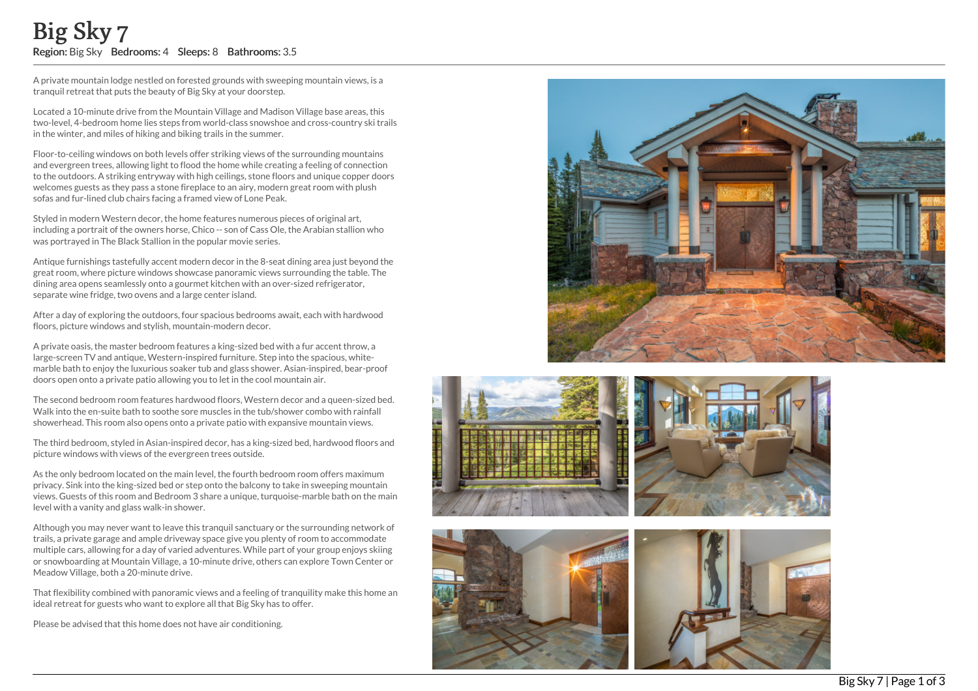A private mountain lodge nestled on forested grounds with sweeping mountain views, is a tranquil retreat that puts the beauty of Big Sky at your doorstep.

Located a 10-minute drive from the Mountain Village and Madison Village base areas, this two-level, 4-bedroom home lies steps from world-class snowshoe and cross-country ski trails in the winter, and miles of hiking and biking trails in the summer.

Floor-to-ceiling windows on both levels offer striking views of the surrounding mountains and evergreen trees, allowing light to flood the home while creating a feeling of connection to the outdoors. A striking entryway with high ceilings, stone floors and unique copper doors welcomes guests as they pass a stone fireplace to an airy, modern great room with plush sofas and fur-lined club chairs facing a framed view of Lone Peak.

Styled in modern Western decor, the home features numerous pieces of original art, including a portrait of the owners horse, Chico -- son of Cass Ole, the Arabian stallion who was portrayed in The Black Stallion in the popular movie series.

Antique furnishings tastefully accent modern decor in the 8-seat dining area just beyond the great room, where picture windows showcase panoramic views surrounding the table. The dining area opens seamlessly onto a gourmet kitchen with an over-sized refrigerator, separate wine fridge, two ovens and a large center island.

After a day of exploring the outdoors, four spacious bedrooms await, each with hardwood floors, picture windows and stylish, mountain-modern decor.

A private oasis, the master bedroom features a king-sized bed with a fur accent throw, a large-screen TV and antique, Western-inspired furniture. Step into the spacious, white marble bath to enjoy the luxurious soaker tub and glass shower. Asian-inspired, bear-proof doors open onto a private patio allowing you to let in the cool mountain air.

The second bedroom room features hardwood floors, Western decor and a queen-sized bed. Walk into the en-suite bath to soothe sore muscles in the tub/shower combo with rainfall showerhead. This room also opens onto a private patio with expansive mountain views.

The third bedroom, styled in Asian-inspired decor, has a king-sized bed, hardwood floors and picture windows with views of the evergreen trees outside.

As the only bedroom located on the main level, the fourth bedroom room offers maximum privacy. Sink into the king-sized bed or step onto the balcony to take in sweeping mountain views. Guests of this room and Bedroom 3 share a unique, turquoise-marble bath on the main level with a vanity and glass walk-in shower.

Although you may never want to leave this tranquil sanctuary or the surrounding network of trails, a private garage and ample driveway space give you plenty of room to accommodate multiple cars, allowing for a day of varied adventures. While part of your group enjoys skiing or snowboarding at Mountain Village, a 10-minute drive, others can explore Town Center or Meadow Village, both a 20-minute drive. **Blgg Sky 77**<br>
Negion: Big Sky Bedrooms: 4 Sleeps: 8 Bathrooms: 3.5<br>
Aprivate mountain lodge nestled on forested grounds with sweeping<br>tranquil retreat that puts the beauty of Big Sky at your doorstep.<br>
Located a 10-minute

That flexibility combined with panoramic views and a feeling of tranquility make this home an ideal retreat for guests who want to explore all that Big Sky has to offer.







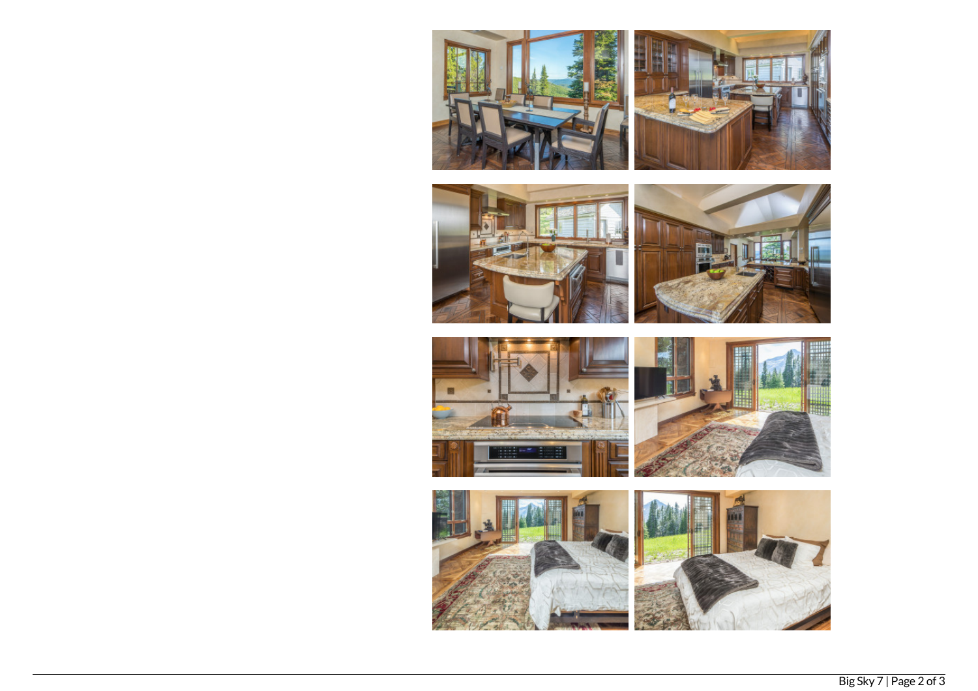